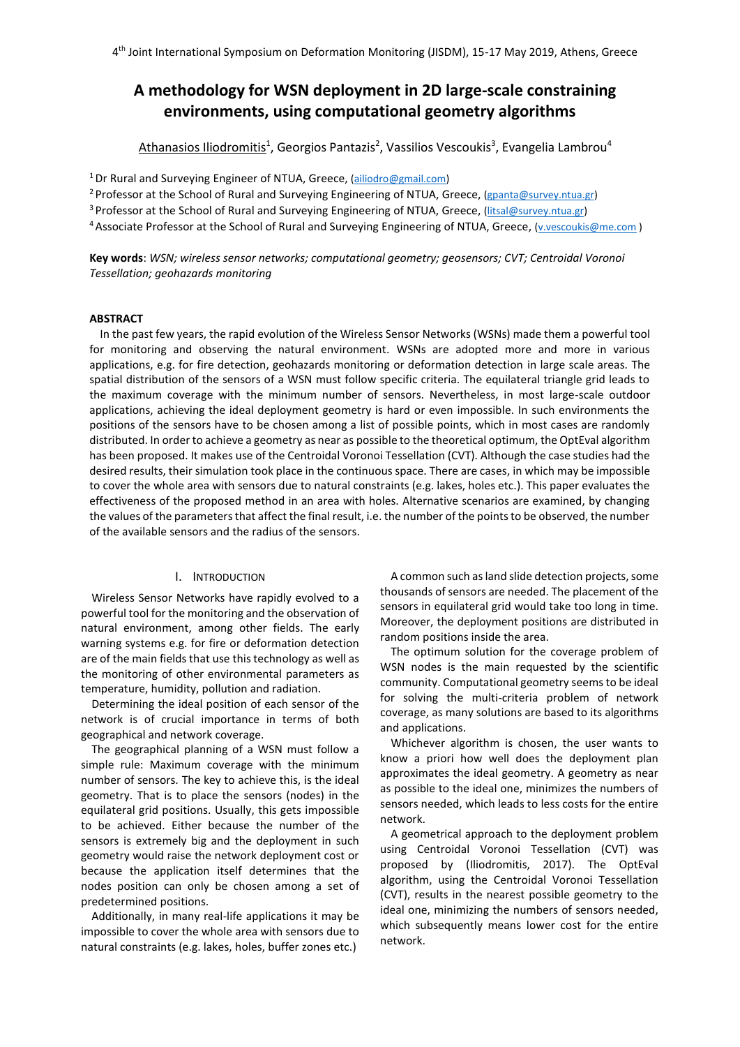# **A methodology for WSN deployment in 2D large-scale constraining environments, using computational geometry algorithms**

<u>Athanasios Iliodromitis</u><sup>1</sup>, Georgios Pantazis<sup>2</sup>, Vassilios Vescoukis<sup>3</sup>, Evangelia Lambrou<sup>4</sup>

<sup>1</sup> Dr Rural and Surveying Engineer of NTUA, Greece, [\(ailiodro@gmail.com\)](mailto:ailiodro@gmail.com)

<sup>2</sup> Professor at the School of Rural and Surveying Engineering of NTUA, Greece, [\(gpanta@survey.ntua.gr\)](mailto:gpanta@survey.ntua.gr)

<sup>3</sup> Professor at the School of Rural and Surveying Engineering of NTUA, Greece, [\(litsal@survey.ntua.gr\)](mailto:litsal@survey.ntua.gr)

<sup>4</sup>Associate Professor at the School of Rural and Surveying Engineering of NTUA, Greece, [\(v.vescoukis@me.com](mailto:v.vescoukis@me.com) )

**Key words**: *WSN; wireless sensor networks; computational geometry; geosensors; CVT; Centroidal Voronoi Tessellation; geohazards monitoring*

# **ABSTRACT**

In the past few years, the rapid evolution of the Wireless Sensor Networks (WSNs) made them a powerful tool for monitoring and observing the natural environment. WSNs are adopted more and more in various applications, e.g. for fire detection, geohazards monitoring or deformation detection in large scale areas. The spatial distribution of the sensors of a WSN must follow specific criteria. The equilateral triangle grid leads to the maximum coverage with the minimum number of sensors. Nevertheless, in most large-scale outdoor applications, achieving the ideal deployment geometry is hard or even impossible. In such environments the positions of the sensors have to be chosen among a list of possible points, which in most cases are randomly distributed. In order to achieve a geometry as near as possible to the theoretical optimum, the OptEval algorithm has been proposed. It makes use of the Centroidal Voronoi Tessellation (CVT). Although the case studies had the desired results, their simulation took place in the continuous space. There are cases, in which may be impossible to cover the whole area with sensors due to natural constraints (e.g. lakes, holes etc.). This paper evaluates the effectiveness of the proposed method in an area with holes. Alternative scenarios are examined, by changing the values of the parameters that affect the final result, i.e. the number of the points to be observed, the number of the available sensors and the radius of the sensors.

# I. INTRODUCTION

Wireless Sensor Networks have rapidly evolved to a powerful tool for the monitoring and the observation of natural environment, among other fields. The early warning systems e.g. for fire or deformation detection are of the main fields that use this technology as well as the monitoring of other environmental parameters as temperature, humidity, pollution and radiation.

Determining the ideal position of each sensor of the network is of crucial importance in terms of both geographical and network coverage.

The geographical planning of a WSN must follow a simple rule: Maximum coverage with the minimum number of sensors. The key to achieve this, is the ideal geometry. That is to place the sensors (nodes) in the equilateral grid positions. Usually, this gets impossible to be achieved. Either because the number of the sensors is extremely big and the deployment in such geometry would raise the network deployment cost or because the application itself determines that the nodes position can only be chosen among a set of predetermined positions.

Additionally, in many real-life applications it may be impossible to cover the whole area with sensors due to natural constraints (e.g. lakes, holes, buffer zones etc.)

A common such asland slide detection projects, some thousands of sensors are needed. The placement of the sensors in equilateral grid would take too long in time. Moreover, the deployment positions are distributed in random positions inside the area.

The optimum solution for the coverage problem of WSN nodes is the main requested by the scientific community. Computational geometry seems to be ideal for solving the multi-criteria problem of network coverage, as many solutions are based to its algorithms and applications.

Whichever algorithm is chosen, the user wants to know a priori how well does the deployment plan approximates the ideal geometry. A geometry as near as possible to the ideal one, minimizes the numbers of sensors needed, which leads to less costs for the entire network.

A geometrical approach to the deployment problem using Centroidal Voronoi Tessellation (CVT) was proposed by (Iliodromitis, 2017). The OptEval algorithm, using the Centroidal Voronoi Tessellation (CVT), results in the nearest possible geometry to the ideal one, minimizing the numbers of sensors needed, which subsequently means lower cost for the entire network.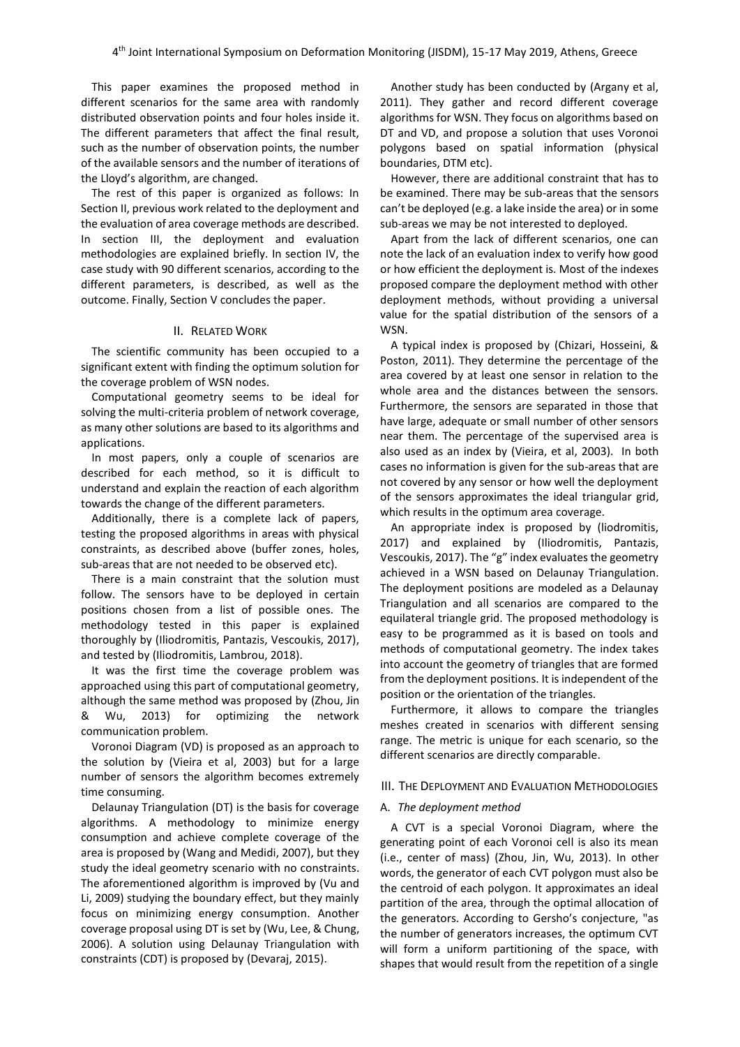This paper examines the proposed method in different scenarios for the same area with randomly distributed observation points and four holes inside it. The different parameters that affect the final result, such as the number of observation points, the number of the available sensors and the number of iterations of the Lloyd's algorithm, are changed.

The rest of this paper is organized as follows: In Section II, previous work related to the deployment and the evaluation of area coverage methods are described. In section III, the deployment and evaluation methodologies are explained briefly. In section IV, the case study with 90 different scenarios, according to the different parameters, is described, as well as the outcome. Finally, Section V concludes the paper.

## II. RELATED WORK

The scientific community has been occupied to a significant extent with finding the optimum solution for the coverage problem of WSN nodes.

Computational geometry seems to be ideal for solving the multi-criteria problem of network coverage, as many other solutions are based to its algorithms and applications.

In most papers, only a couple of scenarios are described for each method, so it is difficult to understand and explain the reaction of each algorithm towards the change of the different parameters.

Additionally, there is a complete lack of papers, testing the proposed algorithms in areas with physical constraints, as described above (buffer zones, holes, sub-areas that are not needed to be observed etc).

There is a main constraint that the solution must follow. The sensors have to be deployed in certain positions chosen from a list of possible ones. The methodology tested in this paper is explained thoroughly by (Iliodromitis, Pantazis, Vescoukis, 2017), and tested by (Iliodromitis, Lambrou, 2018).

It was the first time the coverage problem was approached using this part of computational geometry, although the same method was proposed by (Zhou, Jin & Wu, 2013) for optimizing the network communication problem.

Voronoi Diagram (VD) is proposed as an approach to the solution by (Vieira et al, 2003) but for a large number of sensors the algorithm becomes extremely time consuming.

Delaunay Triangulation (DT) is the basis for coverage algorithms. A methodology to minimize energy consumption and achieve complete coverage of the area is proposed by (Wang and Medidi, 2007), but they study the ideal geometry scenario with no constraints. The aforementioned algorithm is improved by (Vu and Li, 2009) studying the boundary effect, but they mainly focus on minimizing energy consumption. Another coverage proposal using DT is set by (Wu, Lee, & Chung, 2006). A solution using Delaunay Triangulation with constraints (CDT) is proposed by (Devaraj, 2015).

Another study has been conducted by (Argany et al, 2011). They gather and record different coverage algorithms for WSN. They focus on algorithms based on DT and VD, and propose a solution that uses Voronoi polygons based on spatial information (physical boundaries, DTM etc).

However, there are additional constraint that has to be examined. There may be sub-areas that the sensors can't be deployed (e.g. a lake inside the area) or in some sub-areas we may be not interested to deployed.

Apart from the lack of different scenarios, one can note the lack of an evaluation index to verify how good or how efficient the deployment is. Most of the indexes proposed compare the deployment method with other deployment methods, without providing a universal value for the spatial distribution of the sensors of a WSN.

A typical index is proposed by (Chizari, Hosseini, & Poston, 2011). They determine the percentage of the area covered by at least one sensor in relation to the whole area and the distances between the sensors. Furthermore, the sensors are separated in those that have large, adequate or small number of other sensors near them. The percentage of the supervised area is also used as an index by (Vieira, et al, 2003). In both cases no information is given for the sub-areas that are not covered by any sensor or how well the deployment of the sensors approximates the ideal triangular grid, which results in the optimum area coverage.

An appropriate index is proposed by (liodromitis, 2017) and explained by (Iliodromitis, Pantazis, Vescoukis, 2017). The "g" index evaluates the geometry achieved in a WSN based on Delaunay Triangulation. The deployment positions are modeled as a Delaunay Triangulation and all scenarios are compared to the equilateral triangle grid. The proposed methodology is easy to be programmed as it is based on tools and methods of computational geometry. The index takes into account the geometry of triangles that are formed from the deployment positions. It is independent of the position or the orientation of the triangles.

Furthermore, it allows to compare the triangles meshes created in scenarios with different sensing range. The metric is unique for each scenario, so the different scenarios are directly comparable.

#### III. THE DEPLOYMENT AND EVALUATION METHODOLOGIES

### A. *The deployment method*

A CVT is a special Voronoi Diagram, where the generating point of each Voronoi cell is also its mean (i.e., center of mass) (Zhou, Jin, Wu, 2013). In other words, the generator of each CVT polygon must also be the centroid of each polygon. It approximates an ideal partition of the area, through the optimal allocation of the generators. According to Gersho's conjecture, "as the number of generators increases, the optimum CVT will form a uniform partitioning of the space, with shapes that would result from the repetition of a single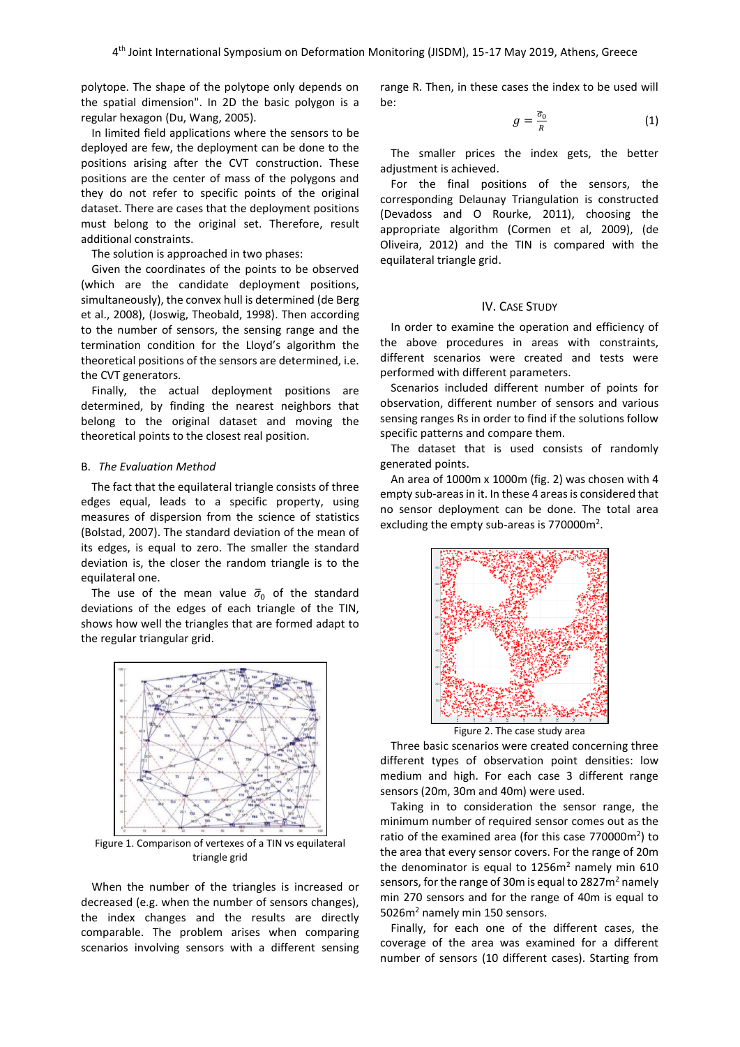polytope. The shape of the polytope only depends on the spatial dimension". In 2D the basic polygon is a regular hexagon (Du, Wang, 2005).

In limited field applications where the sensors to be deployed are few, the deployment can be done to the positions arising after the CVT construction. These positions are the center of mass of the polygons and they do not refer to specific points of the original dataset. There are cases that the deployment positions must belong to the original set. Therefore, result additional constraints.

The solution is approached in two phases:

Given the coordinates of the points to be observed (which are the candidate deployment positions, simultaneously), the convex hull is determined (de Berg et al., 2008), (Joswig, Theobald, 1998). Then according to the number of sensors, the sensing range and the termination condition for the Lloyd's algorithm the theoretical positions of the sensors are determined, i.e. the CVT generators.

Finally, the actual deployment positions are determined, by finding the nearest neighbors that belong to the original dataset and moving the theoretical points to the closest real position.

#### B. *The Evaluation Method*

The fact that the equilateral triangle consists of three edges equal, leads to a specific property, using measures of dispersion from the science of statistics (Bolstad, 2007). The standard deviation of the mean of its edges, is equal to zero. The smaller the standard deviation is, the closer the random triangle is to the equilateral one.

The use of the mean value  $\bar{\sigma}_0$  of the standard deviations of the edges of each triangle of the TIN, shows how well the triangles that are formed adapt to the regular triangular grid.



Figure 1. Comparison of vertexes of a TIN vs equilateral triangle grid

When the number of the triangles is increased or decreased (e.g. when the number of sensors changes), the index changes and the results are directly comparable. The problem arises when comparing scenarios involving sensors with a different sensing range R. Then, in these cases the index to be used will be:

$$
g = \frac{\overline{\sigma}_0}{R} \tag{1}
$$

The smaller prices the index gets, the better adjustment is achieved.

For the final positions of the sensors, the corresponding Delaunay Triangulation is constructed (Devadoss and O Rourke, 2011), choosing the appropriate algorithm (Cormen et al, 2009), (de Oliveira, 2012) and the TIN is compared with the equilateral triangle grid.

## IV. CASE STUDY

In order to examine the operation and efficiency of the above procedures in areas with constraints, different scenarios were created and tests were performed with different parameters.

Scenarios included different number of points for observation, different number of sensors and various sensing ranges Rs in order to find if the solutions follow specific patterns and compare them.

The dataset that is used consists of randomly generated points.

An area of 1000m x 1000m (fig. 2) was chosen with 4 empty sub-areas in it. In these 4 areas is considered that no sensor deployment can be done. The total area excluding the empty sub-areas is 770000m<sup>2</sup>.



Figure 2. The case study area

Three basic scenarios were created concerning three different types of observation point densities: low medium and high. For each case 3 different range sensors (20m, 30m and 40m) were used.

Taking in to consideration the sensor range, the minimum number of required sensor comes out as the ratio of the examined area (for this case 770000m<sup>2</sup>) to the area that every sensor covers. For the range of 20m the denominator is equal to  $1256m<sup>2</sup>$  namely min 610 sensors, for the range of 30 $m$  is equal to 2827 $m<sup>2</sup>$  namely min 270 sensors and for the range of 40m is equal to 5026m<sup>2</sup> namely min 150 sensors.

Finally, for each one of the different cases, the coverage of the area was examined for a different number of sensors (10 different cases). Starting from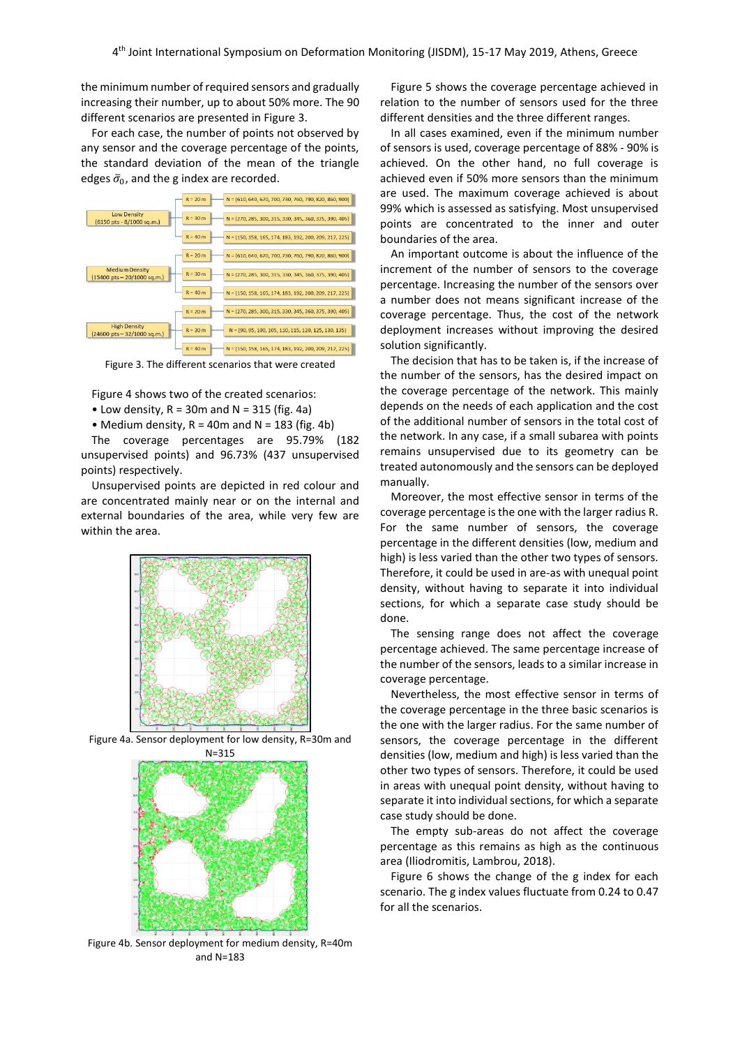the minimum number of required sensors and gradually increasing their number, up to about 50% more. The 90 different scenarios are presented in Figure 3.

For each case, the number of points not observed by any sensor and the coverage percentage of the points, the standard deviation of the mean of the triangle edges  $\bar{\sigma}_0$ , and the g index are recorded.



Figure 3. The different scenarios that were created

Figure 4 shows two of the created scenarios:

• Low density,  $R = 30m$  and  $N = 315$  (fig. 4a)

• Medium density,  $R = 40$ m and  $N = 183$  (fig. 4b)

The coverage percentages are 95.79% (182 unsupervised points) and 96.73% (437 unsupervised points) respectively.

Unsupervised points are depicted in red colour and are concentrated mainly near or on the internal and external boundaries of the area, while very few are within the area.



Figure 4a. Sensor deployment for low density, R=30m and



Figure 4b. Sensor deployment for medium density, R=40m and N=183

Figure 5 shows the coverage percentage achieved in relation to the number of sensors used for the three different densities and the three different ranges.

In all cases examined, even if the minimum number of sensors is used, coverage percentage of 88% - 90% is achieved. On the other hand, no full coverage is achieved even if 50% more sensors than the minimum are used. The maximum coverage achieved is about 99% which is assessed as satisfying. Most unsupervised points are concentrated to the inner and outer boundaries of the area.

An important outcome is about the influence of the increment of the number of sensors to the coverage percentage. Increasing the number of the sensors over a number does not means significant increase of the coverage percentage. Thus, the cost of the network deployment increases without improving the desired solution significantly.

The decision that has to be taken is, if the increase of the number of the sensors, has the desired impact on the coverage percentage of the network. This mainly depends on the needs of each application and the cost of the additional number of sensors in the total cost of the network. In any case, if a small subarea with points remains unsupervised due to its geometry can be treated autonomously and the sensors can be deployed manually.

Moreover, the most effective sensor in terms of the coverage percentage is the one with the larger radius R. For the same number of sensors, the coverage percentage in the different densities (low, medium and high) is less varied than the other two types of sensors. Therefore, it could be used in are-as with unequal point density, without having to separate it into individual sections, for which a separate case study should be done.

The sensing range does not affect the coverage percentage achieved. The same percentage increase of the number of the sensors, leads to a similar increase in coverage percentage.

Nevertheless, the most effective sensor in terms of the coverage percentage in the three basic scenarios is the one with the larger radius. For the same number of sensors, the coverage percentage in the different densities (low, medium and high) is less varied than the other two types of sensors. Therefore, it could be used in areas with unequal point density, without having to separate it into individual sections, for which a separate case study should be done.

The empty sub-areas do not affect the coverage percentage as this remains as high as the continuous area (Iliodromitis, Lambrou, 2018).

Figure 6 shows the change of the g index for each scenario. The g index values fluctuate from 0.24 to 0.47 for all the scenarios.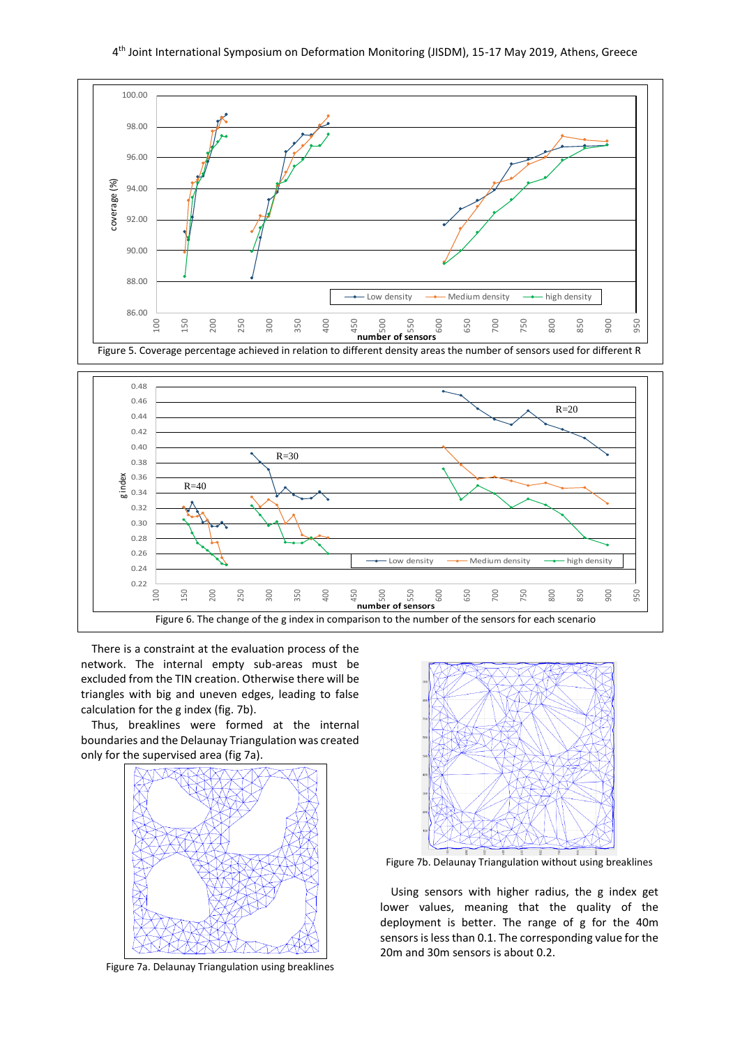



There is a constraint at the evaluation process of the network. The internal empty sub-areas must be excluded from the TIN creation. Otherwise there will be triangles with big and uneven edges, leading to false calculation for the g index (fig. 7b).

Thus, breaklines were formed at the internal boundaries and the Delaunay Triangulation was created only for the supervised area (fig 7a).



Figure 7a. Delaunay Triangulation using breaklines



Figure 7b. Delaunay Triangulation without using breaklines

Using sensors with higher radius, the g index get lower values, meaning that the quality of the deployment is better. The range of g for the 40m sensors is less than 0.1. The corresponding value for the 20m and 30m sensors is about 0.2.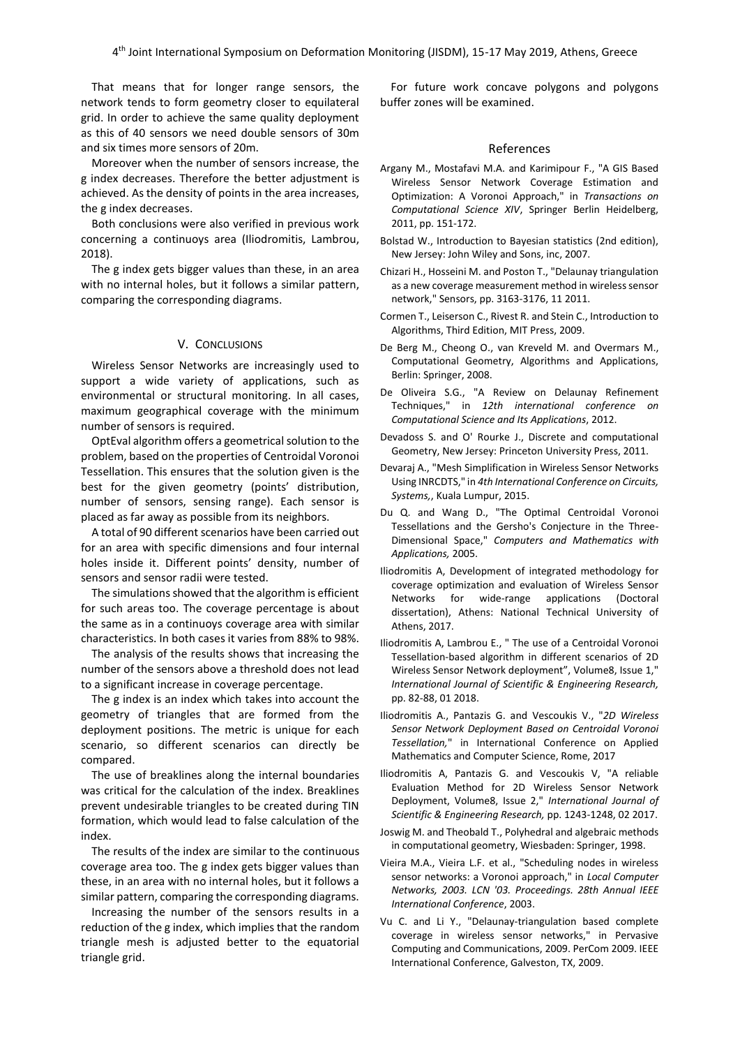That means that for longer range sensors, the network tends to form geometry closer to equilateral grid. In order to achieve the same quality deployment as this of 40 sensors we need double sensors of 30m and six times more sensors of 20m.

Moreover when the number of sensors increase, the g index decreases. Therefore the better adjustment is achieved. As the density of points in the area increases, the g index decreases.

Both conclusions were also verified in previous work concerning a continuoys area (Iliodromitis, Lambrou, 2018).

The g index gets bigger values than these, in an area with no internal holes, but it follows a similar pattern, comparing the corresponding diagrams.

## V. CONCLUSIONS

Wireless Sensor Networks are increasingly used to support a wide variety of applications, such as environmental or structural monitoring. In all cases, maximum geographical coverage with the minimum number of sensors is required.

OptEval algorithm offers a geometrical solution to the problem, based on the properties of Centroidal Voronoi Tessellation. This ensures that the solution given is the best for the given geometry (points' distribution, number of sensors, sensing range). Each sensor is placed as far away as possible from its neighbors.

A total of 90 different scenarios have been carried out for an area with specific dimensions and four internal holes inside it. Different points' density, number of sensors and sensor radii were tested.

The simulations showed that the algorithm is efficient for such areas too. The coverage percentage is about the same as in a continuoys coverage area with similar characteristics. In both cases it varies from 88% to 98%.

The analysis of the results shows that increasing the number of the sensors above a threshold does not lead to a significant increase in coverage percentage.

The g index is an index which takes into account the geometry of triangles that are formed from the deployment positions. The metric is unique for each scenario, so different scenarios can directly be compared.

The use of breaklines along the internal boundaries was critical for the calculation of the index. Breaklines prevent undesirable triangles to be created during TIN formation, which would lead to false calculation of the index.

The results of the index are similar to the continuous coverage area too. The g index gets bigger values than these, in an area with no internal holes, but it follows a similar pattern, comparing the corresponding diagrams.

Increasing the number of the sensors results in a reduction of the g index, which implies that the random triangle mesh is adjusted better to the equatorial triangle grid.

For future work concave polygons and polygons buffer zones will be examined.

#### References

- Argany M., Mostafavi M.A. and Karimipour F., "A GIS Based Wireless Sensor Network Coverage Estimation and Optimization: A Voronoi Approach," in *Transactions on Computational Science XIV*, Springer Berlin Heidelberg, 2011, pp. 151-172.
- Bolstad W., Introduction to Bayesian statistics (2nd edition), New Jersey: John Wiley and Sons, inc, 2007.
- Chizari H., Hosseini M. and Poston T., "Delaunay triangulation as a new coverage measurement method in wireless sensor network," Sensors, pp. 3163-3176, 11 2011.
- Cormen T., Leiserson C., Rivest R. and Stein C., Introduction to Algorithms, Third Edition, MIT Press, 2009.
- De Berg M., Cheong O., van Kreveld M. and Overmars M., Computational Geometry, Algorithms and Applications, Berlin: Springer, 2008.
- De Oliveira S.G., "A Review on Delaunay Refinement Techniques," in *12th international conference on Computational Science and Its Applications*, 2012.
- Devadoss S. and O' Rourke J., Discrete and computational Geometry, New Jersey: Princeton University Press, 2011.
- Devaraj A., "Mesh Simplification in Wireless Sensor Networks Using INRCDTS," in *4th International Conference on Circuits, Systems,*, Kuala Lumpur, 2015.
- Du Q. and Wang D., "The Optimal Centroidal Voronoi Tessellations and the Gersho's Conjecture in the Three-Dimensional Space," *Computers and Mathematics with Applications,* 2005.
- Iliodromitis A, Development of integrated methodology for coverage optimization and evaluation of Wireless Sensor Networks for wide-range applications (Doctoral dissertation), Athens: National Technical University of Athens, 2017.
- Iliodromitis A, Lambrou E., " The use of a Centroidal Voronoi Tessellation-based algorithm in different scenarios of 2D Wireless Sensor Network deployment", Volume8, Issue 1," *International Journal of Scientific & Engineering Research,*  pp. 82-88, 01 2018.
- Iliodromitis A., Pantazis G. and Vescoukis V., "*2D Wireless Sensor Network Deployment Based on Centroidal Voronoi Tessellation,*" in International Conference on Applied Mathematics and Computer Science, Rome, 2017
- Iliodromitis A, Pantazis G. and Vescoukis V, "A reliable Evaluation Method for 2D Wireless Sensor Network Deployment, Volume8, Issue 2," *International Journal of Scientific & Engineering Research,* pp. 1243-1248, 02 2017.
- Joswig M. and Theobald T., Polyhedral and algebraic methods in computational geometry, Wiesbaden: Springer, 1998.
- Vieira M.A., Vieira L.F. et al., "Scheduling nodes in wireless sensor networks: a Voronoi approach," in *Local Computer Networks, 2003. LCN '03. Proceedings. 28th Annual IEEE International Conference*, 2003.
- Vu C. and Li Y., "Delaunay-triangulation based complete coverage in wireless sensor networks," in Pervasive Computing and Communications, 2009. PerCom 2009. IEEE International Conference, Galveston, TX, 2009.